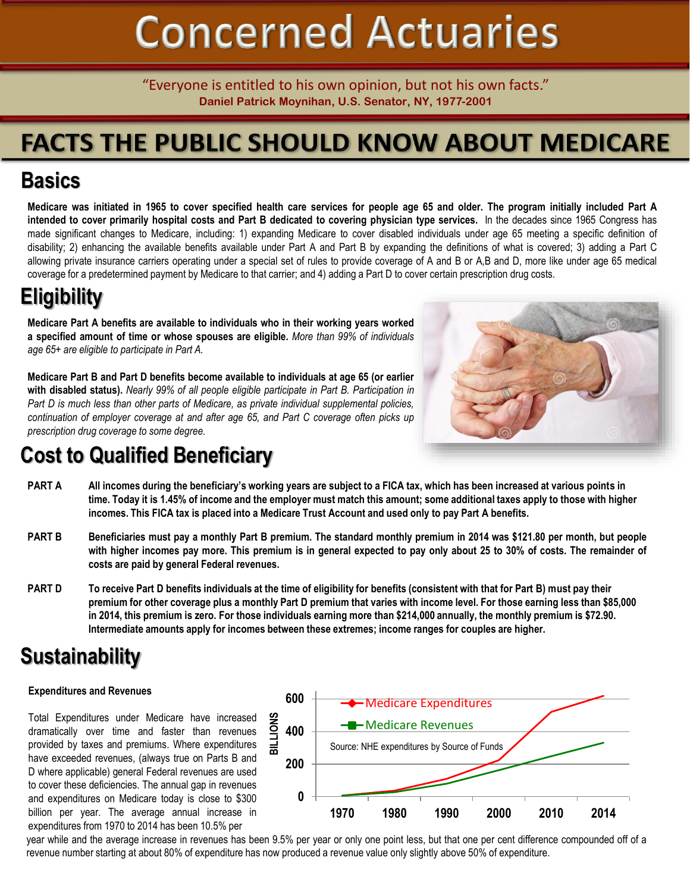# **Concerned Actuaries**

"Everyone is entitled to his own opinion, but not his own facts." **Daniel Patrick Moynihan, U.S. Senator, NY, 1977-2001**

# **FACTS THE PUBLIC SHOULD KNOW ABOUT MEDICARE**

### **Basics**

Medicare was initiated in 1965 to cover specified health care services for people age 65 and older. The program initially included Part A intended to cover primarily hospital costs and Part B dedicated to covering physician type services. In the decades since 1965 Congress has made significant changes to Medicare, including: 1) expanding Medicare to cover disabled individuals under age 65 meeting a specific definition of disability; 2) enhancing the available benefits available under Part A and Part B by expanding the definitions of what is covered; 3) adding a Part C allowing private insurance carriers operating under a special set of rules to provide coverage of A and B or A,B and D, more like under age 65 medical coverage for a predetermined payment by Medicare to that carrier; and 4) adding a Part D to cover certain prescription drug costs.

### **Eligibility**

**Medicare Part A benefits are available to individuals who in their working years worked a specified amount of time or whose spouses are eligible.** *More than 99% of individuals age 65+ are eligible to participate in Part A.*

**Medicare Part B and Part D benefits become available to individuals at age 65 (or earlier with disabled status).** *Nearly 99% of all people eligible participate in Part B. Participation in Part D is much less than other parts of Medicare, as private individual supplemental policies, continuation of employer coverage at and after age 65, and Part C coverage often picks up prescription drug coverage to some degree.*



## **Cost to Qualified Beneficiary**

- **PART A All incomes during the beneficiary's working years are subject to a FICA tax, which has been increased at various points in time. Today it is 1.45% of income and the employer must match this amount; some additional taxes apply to those with higher incomes. This FICA tax is placed into a Medicare Trust Account and used only to pay Part A benefits.**
- PART B Beneficiaries must pay a monthly Part B premium. The standard monthly premium in 2014 was \$121.80 per month, but people with higher incomes pay more. This premium is in general expected to pay only about 25 to 30% of costs. The remainder of **costs are paid by general Federal revenues.**
- PART D To receive Part D benefits individuals at the time of eligibility for benefits (consistent with that for Part B) must pay their **premium for other coverage plus a monthly Part D premium that varies with income level. For those earning less than \$85,000 in 2014, this premium is zero. For those individuals earning more than \$214,000 annually, the monthly premium is \$72.90. Intermediate amounts apply for incomes between these extremes; income ranges for couples are higher.**

### **Sustainability**

### **Expenditures and Revenues**

Total Expenditures under Medicare have increased dramatically over time and faster than revenues provided by taxes and premiums. Where expenditures have exceeded revenues, (always true on Parts B and D where applicable) general Federal revenues are used to cover these deficiencies. The annual gap in revenues and expenditures on Medicare today is close to \$300 billion per year. The average annual increase in expenditures from 1970 to 2014 has been 10.5% per



year while and the average increase in revenues has been 9.5% per year or only one point less, but that one per cent difference compounded off of a revenue number starting at about 80% of expenditure has now produced a revenue value only slightly above 50% of expenditure.